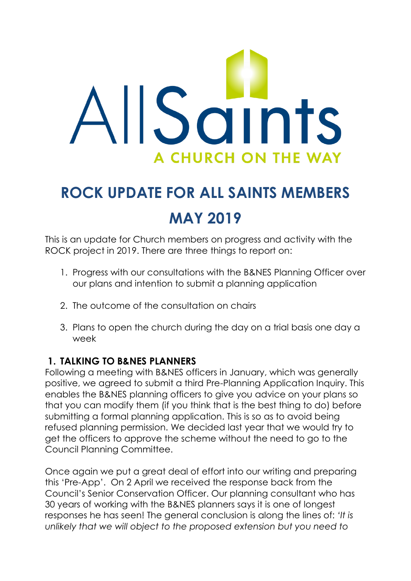

# **ROCK UPDATE FOR ALL SAINTS MEMBERS MAY 2019**

This is an update for Church members on progress and activity with the ROCK project in 2019. There are three things to report on:

- 1. Progress with our consultations with the B&NES Planning Officer over our plans and intention to submit a planning application
- 2. The outcome of the consultation on chairs
- 3. Plans to open the church during the day on a trial basis one day a week

## **1. TALKING TO B&NES PLANNERS**

Following a meeting with B&NES officers in January, which was generally positive, we agreed to submit a third Pre-Planning Application Inquiry. This enables the B&NES planning officers to give you advice on your plans so that you can modify them (if you think that is the best thing to do) before submitting a formal planning application. This is so as to avoid being refused planning permission. We decided last year that we would try to get the officers to approve the scheme without the need to go to the Council Planning Committee.

Once again we put a great deal of effort into our writing and preparing this 'Pre-App'. On 2 April we received the response back from the Council's Senior Conservation Officer. Our planning consultant who has 30 years of working with the B&NES planners says it is one of longest responses he has seen! The general conclusion is along the lines of: *'It is unlikely that we will object to the proposed extension but you need to*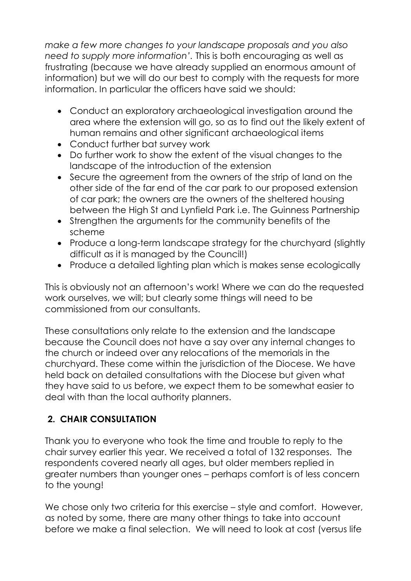*make a few more changes to your landscape proposals and you also need to supply more information'.* This is both encouraging as well as frustrating (because we have already supplied an enormous amount of information) but we will do our best to comply with the requests for more information. In particular the officers have said we should:

- Conduct an exploratory archaeological investigation around the area where the extension will go, so as to find out the likely extent of human remains and other significant archaeological items
- Conduct further bat survey work
- Do further work to show the extent of the visual changes to the landscape of the introduction of the extension
- Secure the agreement from the owners of the strip of land on the other side of the far end of the car park to our proposed extension of car park; the owners are the owners of the sheltered housing between the High St and Lynfield Park i.e. The Guinness Partnership
- Strengthen the arguments for the community benefits of the scheme
- Produce a long-term landscape strategy for the churchyard (slightly difficult as it is managed by the Council!)
- Produce a detailed lighting plan which is makes sense ecologically

This is obviously not an afternoon's work! Where we can do the requested work ourselves, we will; but clearly some things will need to be commissioned from our consultants.

These consultations only relate to the extension and the landscape because the Council does not have a say over any internal changes to the church or indeed over any relocations of the memorials in the churchyard. These come within the jurisdiction of the Diocese. We have held back on detailed consultations with the Diocese but given what they have said to us before, we expect them to be somewhat easier to deal with than the local authority planners.

# **2. CHAIR CONSULTATION**

Thank you to everyone who took the time and trouble to reply to the chair survey earlier this year. We received a total of 132 responses. The respondents covered nearly all ages, but older members replied in greater numbers than younger ones – perhaps comfort is of less concern to the young!

We chose only two criteria for this exercise – style and comfort. However, as noted by some, there are many other things to take into account before we make a final selection. We will need to look at cost (versus life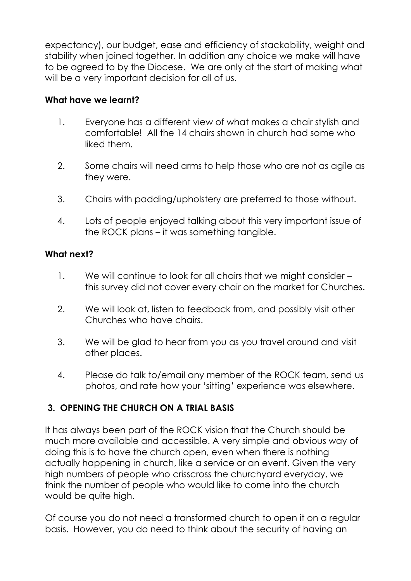expectancy), our budget, ease and efficiency of stackability, weight and stability when joined together. In addition any choice we make will have to be agreed to by the Diocese. We are only at the start of making what will be a very important decision for all of us.

#### **What have we learnt?**

- 1. Everyone has a different view of what makes a chair stylish and comfortable! All the 14 chairs shown in church had some who liked them.
- 2. Some chairs will need arms to help those who are not as agile as they were.
- 3. Chairs with padding/upholstery are preferred to those without.
- 4. Lots of people enjoyed talking about this very important issue of the ROCK plans – it was something tangible.

#### **What next?**

- 1. We will continue to look for all chairs that we might consider this survey did not cover every chair on the market for Churches.
- 2. We will look at, listen to feedback from, and possibly visit other Churches who have chairs.
- 3. We will be glad to hear from you as you travel around and visit other places.
- 4. Please do talk to/email any member of the ROCK team, send us photos, and rate how your 'sitting' experience was elsewhere.

## **3. OPENING THE CHURCH ON A TRIAL BASIS**

It has always been part of the ROCK vision that the Church should be much more available and accessible. A very simple and obvious way of doing this is to have the church open, even when there is nothing actually happening in church, like a service or an event. Given the very high numbers of people who crisscross the churchyard everyday, we think the number of people who would like to come into the church would be quite high.

Of course you do not need a transformed church to open it on a regular basis. However, you do need to think about the security of having an